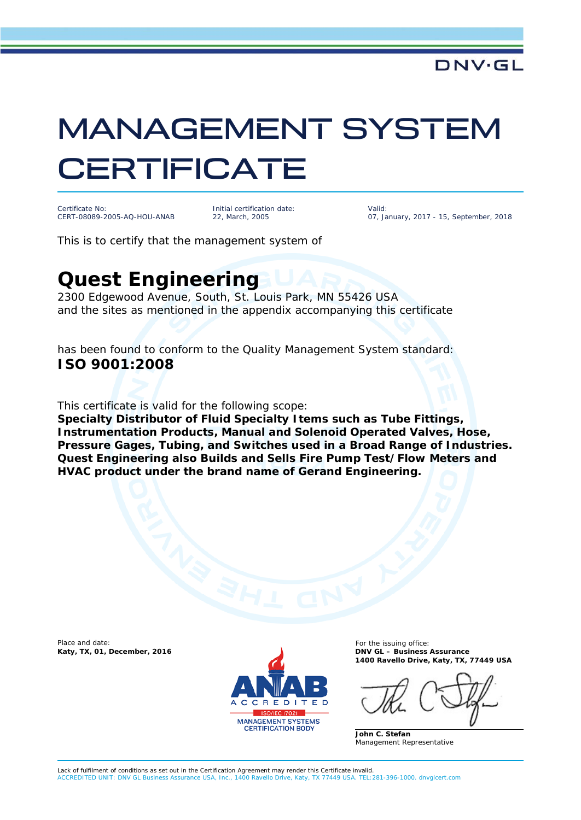## MANAGEMENT SYSTEM **CERTIFICATE**

Certificate No: CERT-08089-2005-AQ-HOU-ANAB

Initial certification date: 22, March, 2005

Valid: 07, January, 2017 - 15, September, 2018

This is to certify that the management system of

## **Quest Engineering**

2300 Edgewood Avenue, South, St. Louis Park, MN 55426 USA and the sites as mentioned in the appendix accompanying this certificate

has been found to conform to the Quality Management System standard: **ISO 9001:2008**

This certificate is valid for the following scope:

**Specialty Distributor of Fluid Specialty Items such as Tube Fittings, Instrumentation Products, Manual and Solenoid Operated Valves, Hose, Pressure Gages, Tubing, and Switches used in a Broad Range of Industries. Quest Engineering also Builds and Sells Fire Pump Test/Flow Meters and HVAC product under the brand name of Gerand Engineering.**

Place and date: **Katy, TX, 01, December, 2016** 



For the issuing office:<br>DNV GL - Business Assurance **1400 Ravello Drive, Katy, TX, 77449 USA**

**John C. Stefan** Management Representative